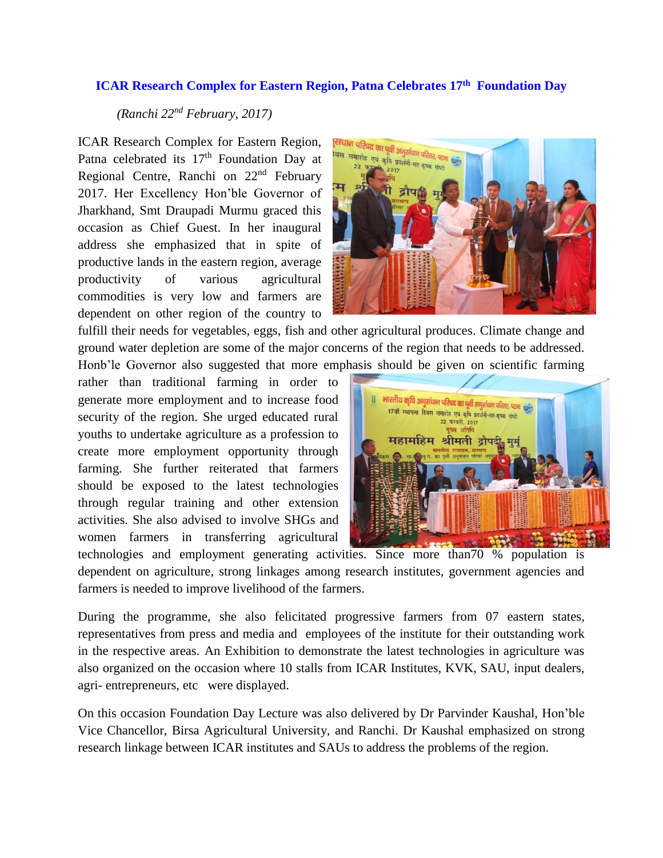## **ICAR Research Complex for Eastern Region, Patna Celebrates 17th Foundation Day**

## *(Ranchi 22nd February, 2017)*

ICAR Research Complex for Eastern Region, Patna celebrated its 17<sup>th</sup> Foundation Day at Regional Centre, Ranchi on 22nd February 2017. Her Excellency Hon'ble Governor of Jharkhand, Smt Draupadi Murmu graced this occasion as Chief Guest. In her inaugural address she emphasized that in spite of productive lands in the eastern region, average productivity of various agricultural commodities is very low and farmers are dependent on other region of the country to



fulfill their needs for vegetables, eggs, fish and other agricultural produces. Climate change and ground water depletion are some of the major concerns of the region that needs to be addressed. Honb'le Governor also suggested that more emphasis should be given on scientific farming

rather than traditional farming in order to generate more employment and to increase food security of the region. She urged educated rural youths to undertake agriculture as a profession to create more employment opportunity through farming. She further reiterated that farmers should be exposed to the latest technologies through regular training and other extension activities. She also advised to involve SHGs and women farmers in transferring agricultural



technologies and employment generating activities. Since more than70 % population is dependent on agriculture, strong linkages among research institutes, government agencies and farmers is needed to improve livelihood of the farmers.

During the programme, she also felicitated progressive farmers from 07 eastern states, representatives from press and media and employees of the institute for their outstanding work in the respective areas. An Exhibition to demonstrate the latest technologies in agriculture was also organized on the occasion where 10 stalls from ICAR Institutes, KVK, SAU, input dealers, agri- entrepreneurs, etc were displayed.

On this occasion Foundation Day Lecture was also delivered by Dr Parvinder Kaushal, Hon'ble Vice Chancellor, Birsa Agricultural University, and Ranchi. Dr Kaushal emphasized on strong research linkage between ICAR institutes and SAUs to address the problems of the region.